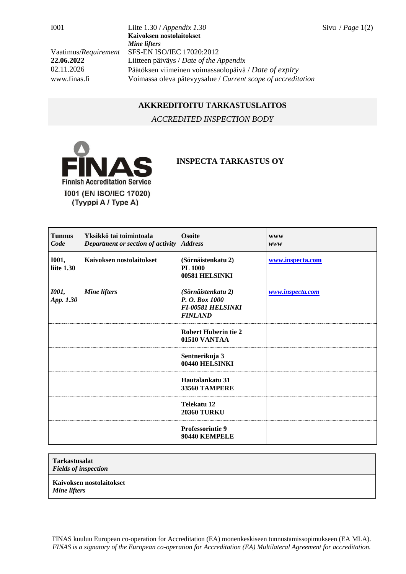I001 Liite 1.30 / *Appendix 1.30* Sivu / *Page* 1(2) **Kaivoksen nostolaitokset** *Mine lifters* Vaatimus/*Requirement* SFS-EN ISO/IEC 17020:2012 **22.06.2022** Liitteen päiväys / *Date of the Appendix* 02.11.2026 Päätöksen viimeinen voimassaolopäivä / *Date of expiry* www.finas.fi Voimassa oleva pätevyysalue / *Current scope of accreditation*

## **AKKREDITOITU TARKASTUSLAITOS**

*ACCREDITED INSPECTION BODY*



## **INSPECTA TARKASTUS OY**

| <b>Tunnus</b><br>Code      | Yksikkö tai toimintoala<br>Department or section of activity | <b>Osoite</b><br><b>Address</b>                                                    | <b>WWW</b><br>www |
|----------------------------|--------------------------------------------------------------|------------------------------------------------------------------------------------|-------------------|
| <b>I001,</b><br>liite 1.30 | Kaivoksen nostolaitokset                                     | (Sörnäistenkatu 2)<br><b>PL 1000</b><br>00581 HELSINKI                             | www.inspecta.com  |
| <b>1001</b> ,<br>App. 1.30 | <b>Mine lifters</b>                                          | (Sörnäistenkatu 2)<br>P. O. Box 1000<br><b>FI-00581 HELSINKI</b><br><b>FINLAND</b> | www.inspecta.com  |
|                            |                                                              | <b>Robert Huberin tie 2</b><br>01510 VANTAA                                        |                   |
|                            |                                                              | Sentnerikuja 3<br>00440 HELSINKI                                                   |                   |
|                            |                                                              | Hautalankatu 31<br><b>33560 TAMPERE</b>                                            |                   |
|                            |                                                              | Telekatu 12<br><b>20360 TURKU</b>                                                  |                   |
|                            |                                                              | <b>Professorintie 9</b><br>90440 KEMPELE                                           |                   |

## **Tarkastusalat**

*Fields of inspection*

**Kaivoksen nostolaitokset**

*Mine lifters*